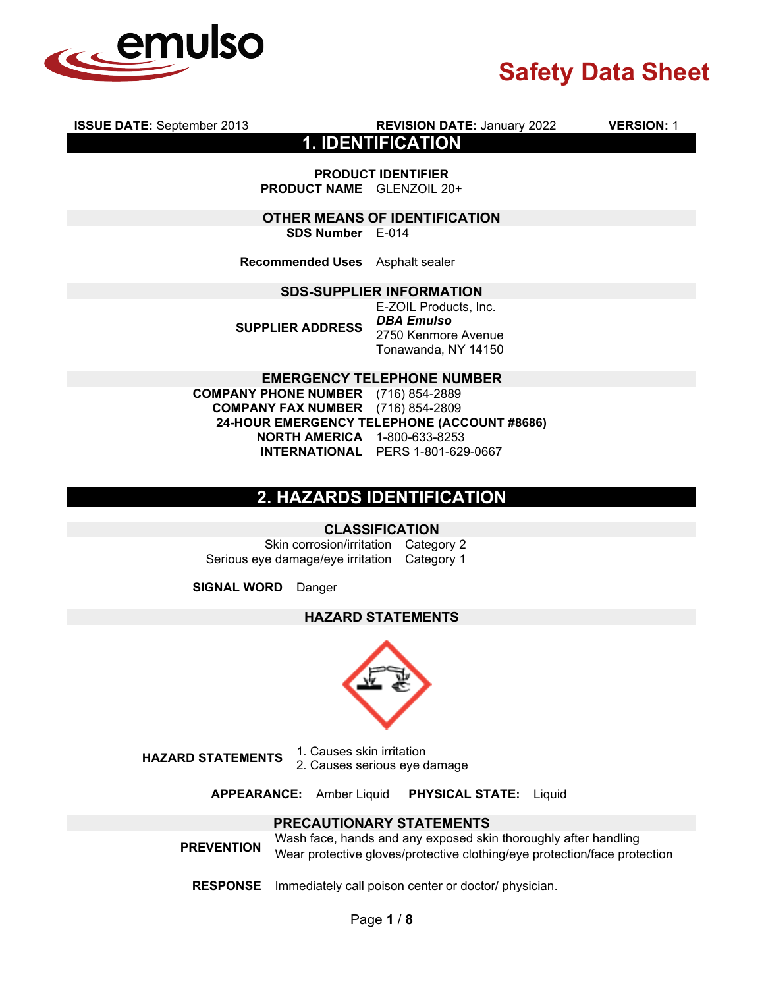

**ISSUE DATE:** September 2013 **REVISION DATE:** January 2022 **VERSION:** 1

**1. IDENTIFICATION**

**PRODUCT IDENTIFIER PRODUCT NAME** GLENZOIL 20+

**OTHER MEANS OF IDENTIFICATION SDS Number** E-014

**Recommended Uses** Asphalt sealer

### **SDS-SUPPLIER INFORMATION**

**SUPPLIER ADDRESS**

E-ZOIL Products, Inc. *DBA Emulso*  2750 Kenmore Avenue Tonawanda, NY 14150

**EMERGENCY TELEPHONE NUMBER**

**COMPANY PHONE NUMBER** (716) 854-2889 **COMPANY FAX NUMBER** (716) 854-2809 **24-HOUR EMERGENCY TELEPHONE (ACCOUNT #8686) NORTH AMERICA** 1-800-633-8253 **INTERNATIONAL** PERS 1-801-629-0667

## **2. HAZARDS IDENTIFICATION**

### **CLASSIFICATION**

Skin corrosion/irritation Category 2 Serious eye damage/eye irritation Category 1

**SIGNAL WORD** Danger

### **HAZARD STATEMENTS**



**HAZARD STATEMENTS** 1. Causes skin irritation 2. Causes serious eye damage

**APPEARANCE:** Amber Liquid **PHYSICAL STATE:** Liquid

## **PRECAUTIONARY STATEMENTS**

**PREVENTION** Wash face, hands and any exposed skin thoroughly after handling Wear protective gloves/protective clothing/eye protection/face protection

**RESPONSE** Immediately call poison center or doctor/ physician.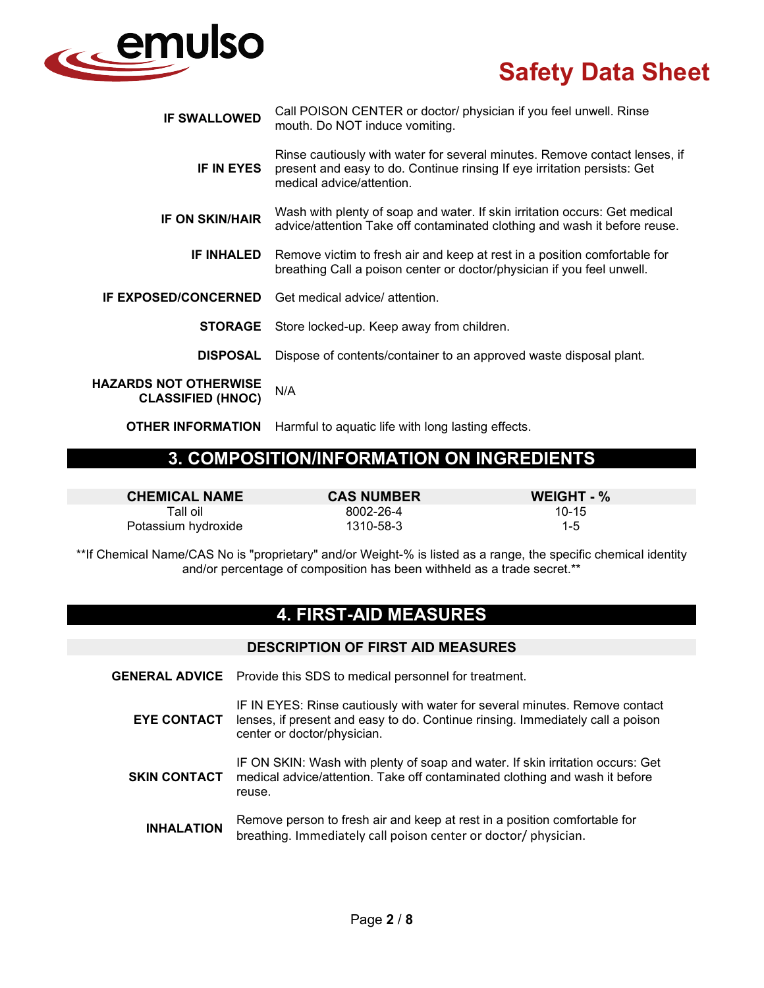

| <b>IF SWALLOWED</b>                                      | Call POISON CENTER or doctor/ physician if you feel unwell. Rinse<br>mouth. Do NOT induce vomiting.                                                                                 |
|----------------------------------------------------------|-------------------------------------------------------------------------------------------------------------------------------------------------------------------------------------|
| <b>IF IN EYES</b>                                        | Rinse cautiously with water for several minutes. Remove contact lenses, if<br>present and easy to do. Continue rinsing If eye irritation persists: Get<br>medical advice/attention. |
| <b>IF ON SKIN/HAIR</b>                                   | Wash with plenty of soap and water. If skin irritation occurs: Get medical<br>advice/attention Take off contaminated clothing and wash it before reuse.                             |
| <b>IF INHALED</b>                                        | Remove victim to fresh air and keep at rest in a position comfortable for<br>breathing Call a poison center or doctor/physician if you feel unwell.                                 |
| <b>IF EXPOSED/CONCERNED</b>                              | Get medical advice/ attention.                                                                                                                                                      |
| <b>STORAGE</b>                                           | Store locked-up. Keep away from children.                                                                                                                                           |
| <b>DISPOSAL</b>                                          | Dispose of contents/container to an approved waste disposal plant.                                                                                                                  |
| <b>HAZARDS NOT OTHERWISE</b><br><b>CLASSIFIED (HNOC)</b> | N/A                                                                                                                                                                                 |
| <b>OTHER INFORMATION</b>                                 | Harmful to aguatic life with long lasting effects.                                                                                                                                  |

# **3. COMPOSITION/INFORMATION ON INGREDIENTS**

**CHEMICAL NAME CAS NUMBER WEIGHT - %**

Tall oil 8002-26-4 10-15 Potassium hydroxide and the 1310-58-3 145

\*\*If Chemical Name/CAS No is "proprietary" and/or Weight-% is listed as a range, the specific chemical identity and/or percentage of composition has been withheld as a trade secret.\*\*

# **4. FIRST-AID MEASURES**

## **DESCRIPTION OF FIRST AID MEASURES**

- **GENERAL ADVICE** Provide this SDS to medical personnel for treatment.
	- **EYE CONTACT** IF IN EYES: Rinse cautiously with water for several minutes. Remove contact lenses, if present and easy to do. Continue rinsing. Immediately call a poison center or doctor/physician.
	- **SKIN CONTACT** IF ON SKIN: Wash with plenty of soap and water. If skin irritation occurs: Get medical advice/attention. Take off contaminated clothing and wash it before reuse.
		- **INHALATION** Remove person to fresh air and keep at rest in a position comfortable for breathing. Immediately call poison center or doctor/ physician.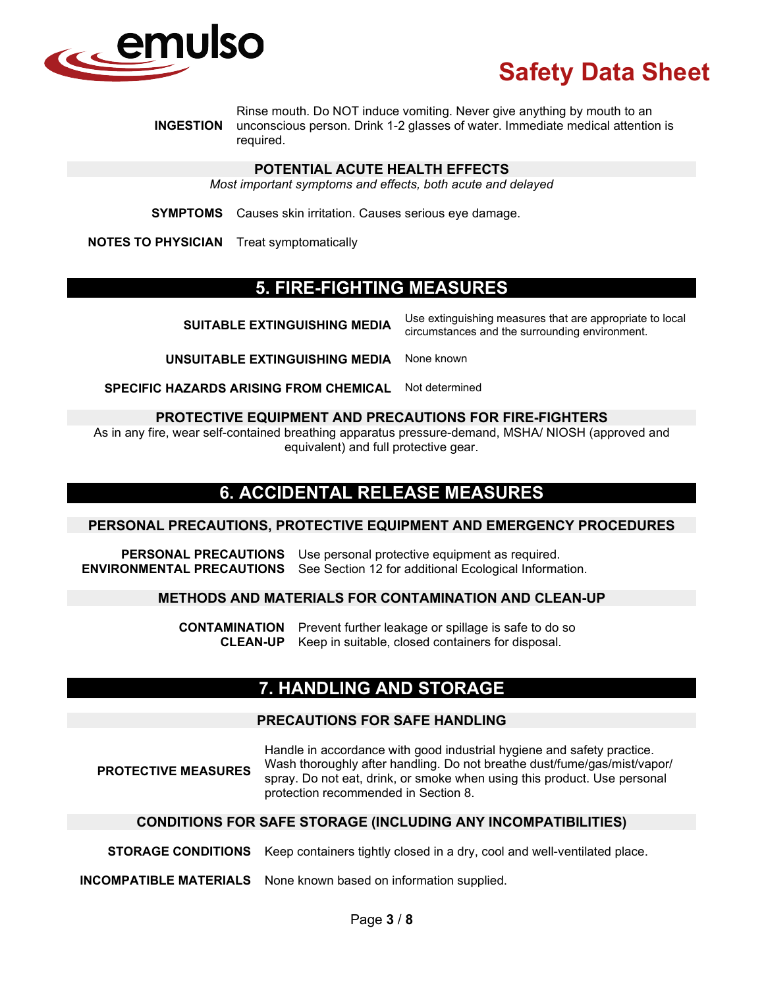

**INGESTION** Rinse mouth. Do NOT induce vomiting. Never give anything by mouth to an unconscious person. Drink 1-2 glasses of water. Immediate medical attention is required.

#### **POTENTIAL ACUTE HEALTH EFFECTS**

*Most important symptoms and effects, both acute and delayed*

**SYMPTOMS** Causes skin irritation. Causes serious eye damage.

**NOTES TO PHYSICIAN** Treat symptomatically

## **5. FIRE-FIGHTING MEASURES**

| <b>SUITABLE EXTINGUISHING MEDIA</b>              | Use extinguishing measures that are appropriate to local<br>circumstances and the surrounding environment. |
|--------------------------------------------------|------------------------------------------------------------------------------------------------------------|
| <b>UNSUITABLE EXTINGUISHING MEDIA</b> None known |                                                                                                            |

**SPECIFIC HAZARDS ARISING FROM CHEMICAL** Not determined

#### **PROTECTIVE EQUIPMENT AND PRECAUTIONS FOR FIRE-FIGHTERS**

As in any fire, wear self-contained breathing apparatus pressure-demand, MSHA/ NIOSH (approved and equivalent) and full protective gear.

## **6. ACCIDENTAL RELEASE MEASURES**

#### **PERSONAL PRECAUTIONS, PROTECTIVE EQUIPMENT AND EMERGENCY PROCEDURES**

**PERSONAL PRECAUTIONS** Use personal protective equipment as required. **ENVIRONMENTAL PRECAUTIONS** See Section 12 for additional Ecological Information.

### **METHODS AND MATERIALS FOR CONTAMINATION AND CLEAN-UP**

**CONTAMINATION** Prevent further leakage or spillage is safe to do so<br>**CLEAN-UP** Keep in suitable, closed containers for disposal. Keep in suitable, closed containers for disposal.

## **7. HANDLING AND STORAGE**

## **PRECAUTIONS FOR SAFE HANDLING**

**PROTECTIVE MEASURES** Handle in accordance with good industrial hygiene and safety practice. Wash thoroughly after handling. Do not breathe dust/fume/gas/mist/vapor/ spray. Do not eat, drink, or smoke when using this product. Use personal protection recommended in Section 8.

### **CONDITIONS FOR SAFE STORAGE (INCLUDING ANY INCOMPATIBILITIES)**

**STORAGE CONDITIONS** Keep containers tightly closed in a dry, cool and well-ventilated place.

**INCOMPATIBLE MATERIALS** None known based on information supplied.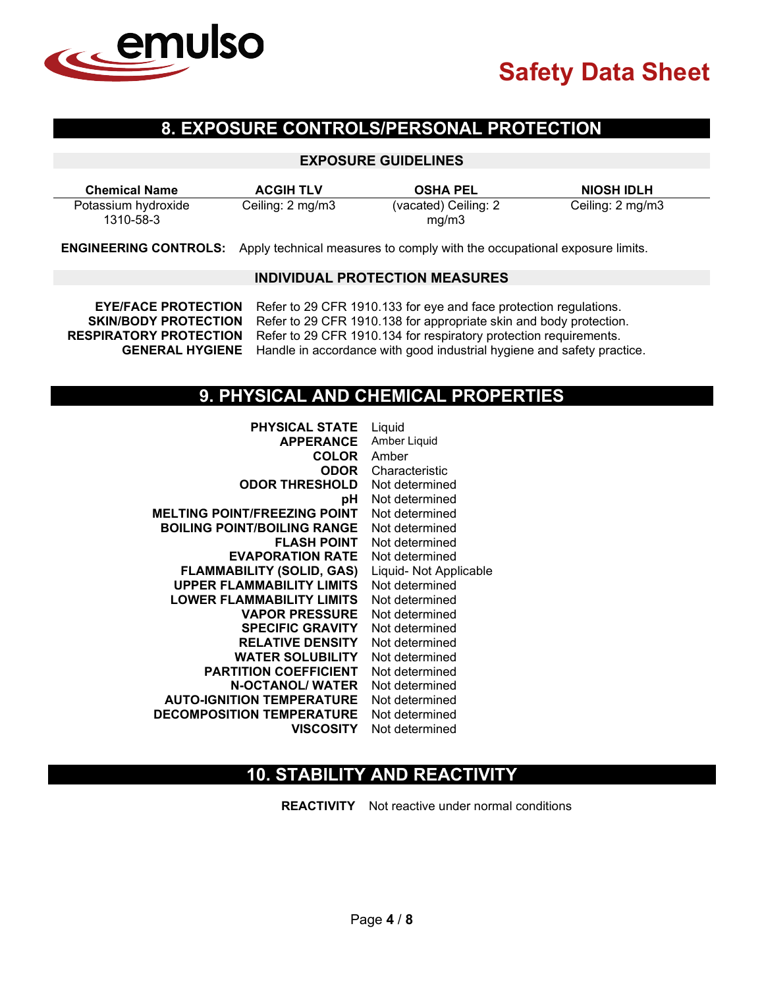

# **8. EXPOSURE CONTROLS/PERSONAL PROTECTION**

### **EXPOSURE GUIDELINES**

| <b>Chemical Name</b> | <b>ACGIH TLV</b> | <b>OSHA PEL</b>      | <b>NIOSH IDLH</b> |
|----------------------|------------------|----------------------|-------------------|
| Potassium hydroxide  | Ceiling: 2 mg/m3 | (vacated) Ceiling: 2 | Ceiling: 2 mg/m3  |
| 1310-58-3            |                  | mq/m3                |                   |

**ENGINEERING CONTROLS:** Apply technical measures to comply with the occupational exposure limits.

#### **INDIVIDUAL PROTECTION MEASURES**

**EYE/FACE PROTECTION** Refer to 29 CFR 1910.133 for eye and face protection regulations.<br>**SKIN/BODY PROTECTION** Refer to 29 CFR 1910.138 for appropriate skin and body protection Refer to 29 CFR 1910.138 for appropriate skin and body protection. **RESPIRATORY PROTECTION** Refer to 29 CFR 1910.134 for respiratory protection requirements. **GENERAL HYGIENE** Handle in accordance with good industrial hygiene and safety practice.

## **9. PHYSICAL AND CHEMICAL PROPERTIES**

| <b>PHYSICAL STATE</b>               | Liquid                 |
|-------------------------------------|------------------------|
| <b>APPERANCE</b>                    | Amber Liquid           |
| <b>COLOR</b>                        | Amber                  |
| <b>ODOR</b>                         | Characteristic         |
| <b>ODOR THRESHOLD</b>               | Not determined         |
| рH                                  | Not determined         |
| <b>MELTING POINT/FREEZING POINT</b> | Not determined         |
| <b>BOILING POINT/BOILING RANGE</b>  | Not determined         |
| <b>FLASH POINT</b>                  | Not determined         |
| <b>EVAPORATION RATE</b>             | Not determined         |
| <b>FLAMMABILITY (SOLID, GAS)</b>    | Liquid- Not Applicable |
| <b>UPPER FLAMMABILITY LIMITS</b>    | Not determined         |
| <b>LOWER FLAMMABILITY LIMITS</b>    | Not determined         |
| <b>VAPOR PRESSURE</b>               | Not determined         |
| <b>SPECIFIC GRAVITY</b>             | Not determined         |
| <b>RELATIVE DENSITY</b>             | Not determined         |
| <b>WATER SOLUBILITY</b>             | Not determined         |
| <b>PARTITION COEFFICIENT</b>        | Not determined         |
| <b>N-OCTANOL/ WATER</b>             | Not determined         |
| <b>AUTO-IGNITION TEMPERATURE</b>    | Not determined         |
| <b>DECOMPOSITION TEMPERATURE</b>    | Not determined         |
| <b>VISCOSITY</b>                    | Not determined         |
|                                     |                        |

## **10. STABILITY AND REACTIVITY**

**REACTIVITY** Not reactive under normal conditions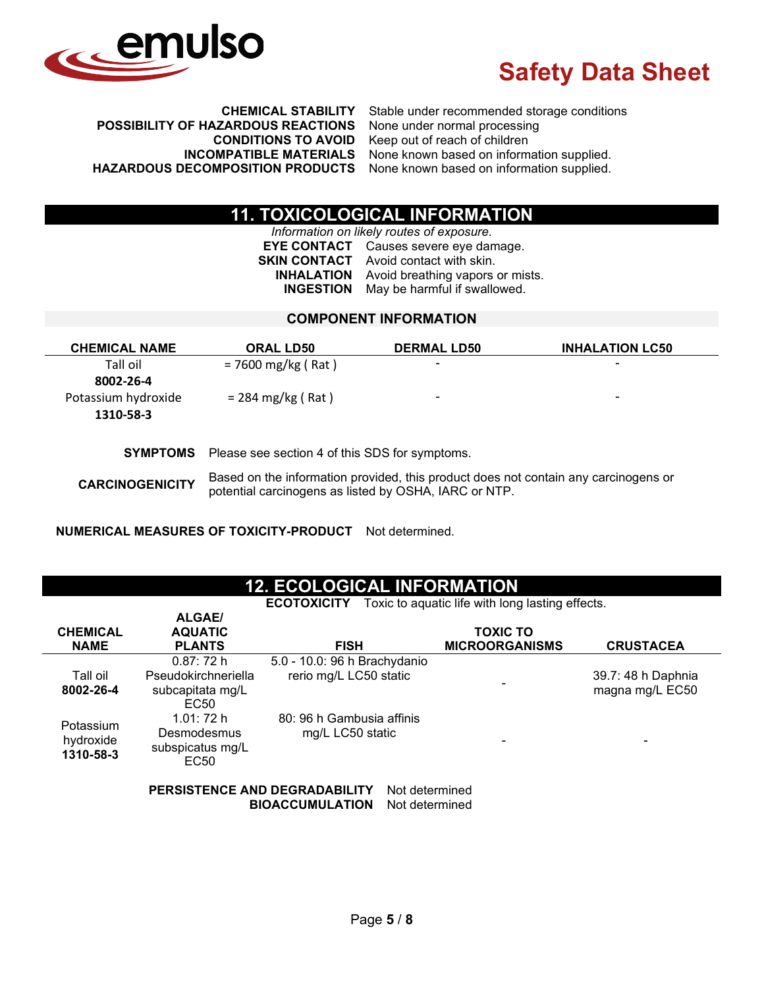

**POSSIBILITY OF HAZARDOUS REACTIONS**<br>CONDITIONS TO AVOID **INCOMPATIBLE MATERIALS** None known based on information supplied.<br>**INAZARDOUS DECOMPOSITION PRODUCTS** None known based on information supplied.

**CHEMICAL STABILITY** Stable under recommended storage conditions Keep out of reach of children None known based on information supplied.

# **11. TOXICOLOGICAL INFORMATION**

*Information on likely routes of exposure.* **EYE CONTACT** Causes severe eye damage. **SKIN CONTACT** Avoid contact with skin. **INHALATION** Avoid breathing vapors or mists. **INGESTION** May be harmful if swallowed.

## **COMPONENT INFORMATION**

| <b>CHEMICAL NAME</b>   | <b>ORAL LD50</b>                                               | <b>DERMAL LD50</b>                                                                  | <b>INHALATION LC50</b> |
|------------------------|----------------------------------------------------------------|-------------------------------------------------------------------------------------|------------------------|
| Tall oil               | $= 7600$ mg/kg (Rat)                                           |                                                                                     |                        |
| 8002-26-4              |                                                                |                                                                                     |                        |
| Potassium hydroxide    | $= 284 \text{ mg/kg}$ (Rat)                                    |                                                                                     | ۰                      |
| 1310-58-3              |                                                                |                                                                                     |                        |
|                        |                                                                |                                                                                     |                        |
|                        | <b>SYMPTOMS</b> Please see section 4 of this SDS for symptoms. |                                                                                     |                        |
| <b>CARCINOGENICITY</b> | potential carcinogens as listed by OSHA, IARC or NTP.          | Based on the information provided, this product does not contain any carcinogens or |                        |

**NUMERICAL MEASURES OF TOXICITY-PRODUCT** Not determined.

## **12. ECOLOGICAL INFORMATION**

**ECOTOXICITY** Toxic to aquatic life with long lasting effects.

| <b>CHEMICAL</b><br><b>NAME</b>      | <b>ALGAE/</b><br><b>AQUATIC</b><br><b>PLANTS</b>                         | <b>FISH</b>                                            | <b>TOXIC TO</b><br><b>MICROORGANISMS</b> | <b>CRUSTACEA</b>                      |
|-------------------------------------|--------------------------------------------------------------------------|--------------------------------------------------------|------------------------------------------|---------------------------------------|
| Tall oil<br>8002-26-4               | 0.87:72 h<br>Pseudokirchneriella<br>subcapitata mg/L<br>EC <sub>50</sub> | 5.0 - 10.0: 96 h Brachydanio<br>rerio mg/L LC50 static |                                          | 39.7: 48 h Daphnia<br>magna mg/L EC50 |
| Potassium<br>hydroxide<br>1310-58-3 | 1.01:72 h<br>Desmodesmus<br>subspicatus mg/L<br>EC50                     | 80: 96 h Gambusia affinis<br>mg/L LC50 static          |                                          |                                       |

**PERSISTENCE AND DEGRADABILITY** Not determined **BIOACCUMULATION** Not determined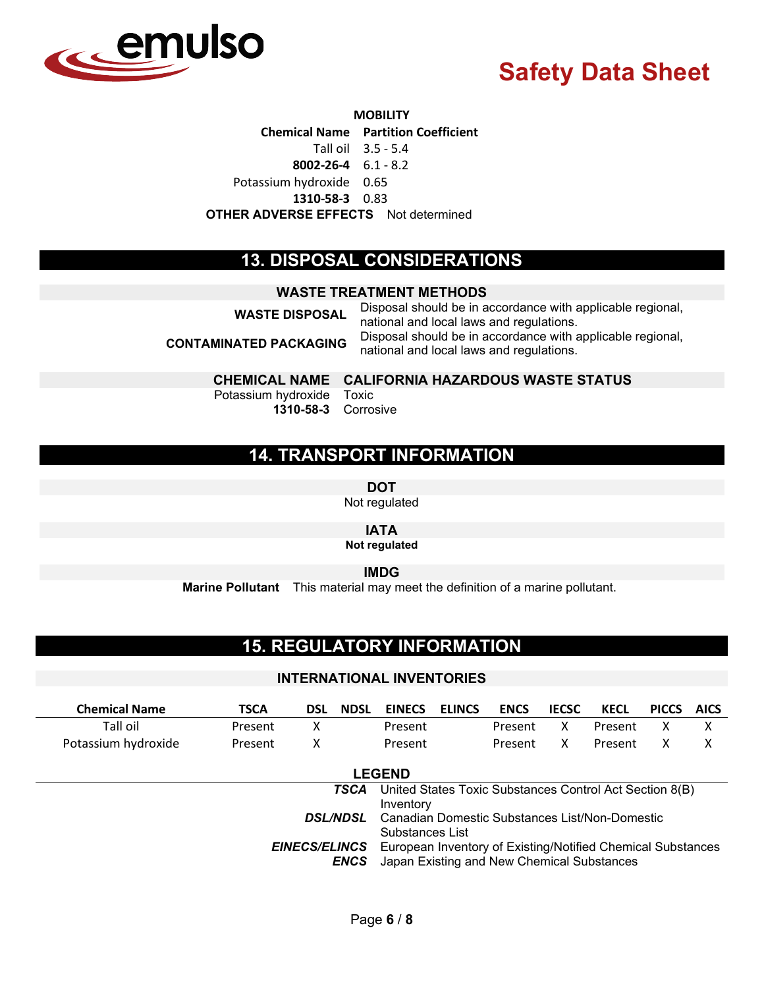

#### **MOBILITY**

**Chemical Name Partition Coefficient**

Tall oil 3.5 - 5.4

**8002-26-4** 6.1 - 8.2

Potassium hydroxide 0.65

**1310-58-3** 0.83

**OTHER ADVERSE EFFECTS** Not determined

## **13. DISPOSAL CONSIDERATIONS**

### **WASTE TREATMENT METHODS**

**WASTE DISPOSAL** Disposal should be in accordance with applicable regional, national and local laws and regulations. **CONTAMINATED PACKAGING** Disposal should be in accordance with applicable regional, national and local laws and regulations.

## **CHEMICAL NAME CALIFORNIA HAZARDOUS WASTE STATUS**

Potassium hydroxide **1310-58-3** Corrosive

Toxic

# **14. TRANSPORT INFORMATION**

**DOT**

Not regulated

**IATA**

**Not regulated**

**IMDG**

**Marine Pollutant** This material may meet the definition of a marine pollutant.

# **15. REGULATORY INFORMATION**

### **INTERNATIONAL INVENTORIES**

| <b>Chemical Name</b>                                                                                                                             | <b>TSCA</b>                                                                          | DSL | <b>NDSL</b> | <b>EINECS</b> | <b>ELINCS</b> | <b>ENCS</b> | <b>IECSC</b> | <b>KECL</b> | <b>PICCS</b> | <b>AICS</b> |
|--------------------------------------------------------------------------------------------------------------------------------------------------|--------------------------------------------------------------------------------------|-----|-------------|---------------|---------------|-------------|--------------|-------------|--------------|-------------|
| Tall oil                                                                                                                                         | Present                                                                              | х   |             | Present       |               | Present     | x            | Present     | Χ            | х           |
| Potassium hydroxide                                                                                                                              | Present                                                                              | χ   |             | Present       |               | Present     | x            | Present     | x            | х           |
|                                                                                                                                                  |                                                                                      |     |             | <b>LEGEND</b> |               |             |              |             |              |             |
| United States Toxic Substances Control Act Section 8(B)<br><b>TSCA</b><br>Inventory                                                              |                                                                                      |     |             |               |               |             |              |             |              |             |
|                                                                                                                                                  | Canadian Domestic Substances List/Non-Domestic<br><b>DSL/NDSL</b><br>Substances List |     |             |               |               |             |              |             |              |             |
| European Inventory of Existing/Notified Chemical Substances<br><b>EINECS/ELINCS</b><br>Japan Existing and New Chemical Substances<br><b>ENCS</b> |                                                                                      |     |             |               |               |             |              |             |              |             |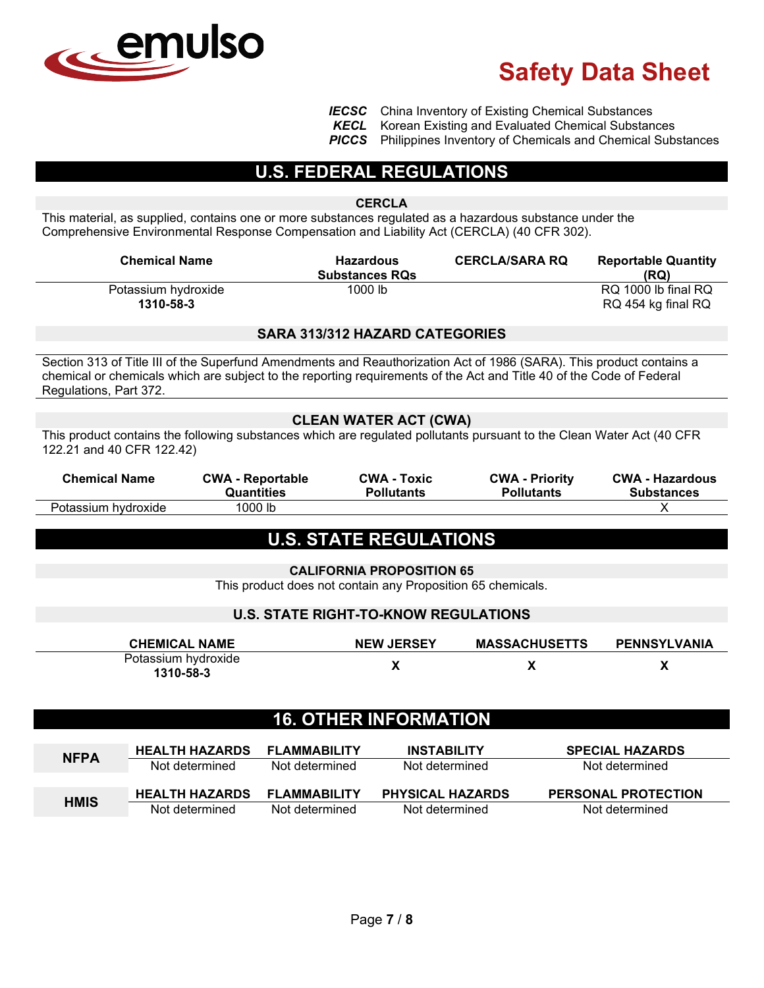

**IECSC** China Inventory of Existing Chemical Substances<br>**KECL** Korean Existing and Evaluated Chemical Substan

**KECL** Korean Existing and Evaluated Chemical Substances<br>**PICCS** Philippines Inventory of Chemicals and Chemical Sub-

**Philippines Inventory of Chemicals and Chemical Substances** 

## **U.S. FEDERAL REGULATIONS**

#### **CERCLA**

This material, as supplied, contains one or more substances regulated as a hazardous substance under the Comprehensive Environmental Response Compensation and Liability Act (CERCLA) (40 CFR 302).

| <b>Chemical Name</b>             | <b>Hazardous</b><br><b>Substances RQs</b> | <b>CERCLA/SARA RQ</b> | <b>Reportable Quantity</b><br>(RQ)        |
|----------------------------------|-------------------------------------------|-----------------------|-------------------------------------------|
| Potassium hydroxide<br>1310-58-3 | 1000 lb                                   |                       | RQ 1000 lb final RQ<br>RQ 454 kg final RQ |

### **SARA 313/312 HAZARD CATEGORIES**

Section 313 of Title III of the Superfund Amendments and Reauthorization Act of 1986 (SARA). This product contains a chemical or chemicals which are subject to the reporting requirements of the Act and Title 40 of the Code of Federal Regulations, Part 372.

## **CLEAN WATER ACT (CWA)**

This product contains the following substances which are regulated pollutants pursuant to the Clean Water Act (40 CFR 122.21 and 40 CFR 122.42)

| <b>Chemical Name</b> | <b>CWA - Reportable</b> | <b>CWA - Toxic</b> | <b>CWA - Priority</b> | <b>CWA - Hazardous</b> |
|----------------------|-------------------------|--------------------|-----------------------|------------------------|
|                      | Quantities              | <b>Pollutants</b>  | <b>Pollutants</b>     | <b>Substances</b>      |
| Potassium hydroxide  | 1000 lb                 |                    |                       |                        |

## **U.S. STATE REGULATIONS**

**CALIFORNIA PROPOSITION 65** This product does not contain any Proposition 65 chemicals.

## **U.S. STATE RIGHT-TO-KNOW REGULATIONS**

| <b>CHEMICAL NAME</b>             | <b>NEW JERSEY</b> | <b>MASSACHUSETTS</b> | <b>PENNSYLVANIA</b> |
|----------------------------------|-------------------|----------------------|---------------------|
| Potassium hydroxide<br>1310-58-3 |                   |                      |                     |

# **16. OTHER INFORMATION**

| <b>NFPA</b> | <b>HEALTH HAZARDS</b> | FLAMMABILITY        | <b>INSTABILITY</b>      | <b>SPECIAL HAZARDS</b>     |
|-------------|-----------------------|---------------------|-------------------------|----------------------------|
|             | Not determined        | Not determined      | Not determined          | Not determined             |
|             |                       |                     |                         |                            |
| <b>HMIS</b> | <b>HEALTH HAZARDS</b> | <b>FLAMMABILITY</b> | <b>PHYSICAL HAZARDS</b> | <b>PERSONAL PROTECTION</b> |
|             | Not determined        | Not determined      | Not determined          | Not determined             |